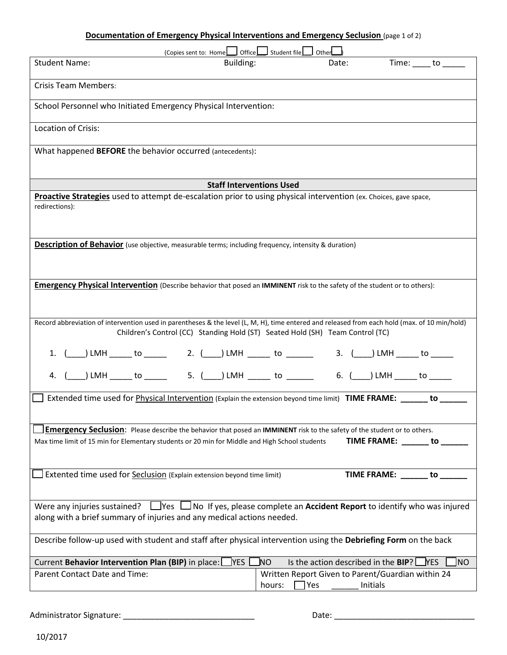## **Documentation of Emergency Physical Interventions and Emergency Seclusion** (page 1 of 2)

| (Copies sent to: Home     Office     Student file     Other                                                                                                                                                                    |        |       |                                                   |                     |  |
|--------------------------------------------------------------------------------------------------------------------------------------------------------------------------------------------------------------------------------|--------|-------|---------------------------------------------------|---------------------|--|
| <b>Student Name:</b><br>Building:                                                                                                                                                                                              |        | Date: |                                                   | $Time:$ to ________ |  |
|                                                                                                                                                                                                                                |        |       |                                                   |                     |  |
| <b>Crisis Team Members:</b>                                                                                                                                                                                                    |        |       |                                                   |                     |  |
| School Personnel who Initiated Emergency Physical Intervention:                                                                                                                                                                |        |       |                                                   |                     |  |
| Location of Crisis:                                                                                                                                                                                                            |        |       |                                                   |                     |  |
| What happened BEFORE the behavior occurred (antecedents):                                                                                                                                                                      |        |       |                                                   |                     |  |
|                                                                                                                                                                                                                                |        |       |                                                   |                     |  |
| <b>Staff Interventions Used</b>                                                                                                                                                                                                |        |       |                                                   |                     |  |
| Proactive Strategies used to attempt de-escalation prior to using physical intervention (ex. Choices, gave space,                                                                                                              |        |       |                                                   |                     |  |
| redirections):                                                                                                                                                                                                                 |        |       |                                                   |                     |  |
|                                                                                                                                                                                                                                |        |       |                                                   |                     |  |
|                                                                                                                                                                                                                                |        |       |                                                   |                     |  |
| <b>Description of Behavior</b> (use objective, measurable terms; including frequency, intensity & duration)                                                                                                                    |        |       |                                                   |                     |  |
|                                                                                                                                                                                                                                |        |       |                                                   |                     |  |
|                                                                                                                                                                                                                                |        |       |                                                   |                     |  |
|                                                                                                                                                                                                                                |        |       |                                                   |                     |  |
| <b>Emergency Physical Intervention</b> (Describe behavior that posed an IMMINENT risk to the safety of the student or to others):                                                                                              |        |       |                                                   |                     |  |
|                                                                                                                                                                                                                                |        |       |                                                   |                     |  |
|                                                                                                                                                                                                                                |        |       |                                                   |                     |  |
| Record abbreviation of intervention used in parentheses & the level (L, M, H), time entered and released from each hold (max. of 10 min/hold)<br>Children's Control (CC) Standing Hold (ST) Seated Hold (SH) Team Control (TC) |        |       |                                                   |                     |  |
|                                                                                                                                                                                                                                |        |       |                                                   |                     |  |
| 1. (____) LMH ______ to ______ 2. (____) LMH ______ to _______ 3. (____) LMH _____ to _____                                                                                                                                    |        |       |                                                   |                     |  |
| 4. (____) LMH ______ to ______  5. (____) LMH ______ to _______  6. (____) LMH ______ to ______                                                                                                                                |        |       |                                                   |                     |  |
|                                                                                                                                                                                                                                |        |       |                                                   |                     |  |
| Extended time used for Physical Intervention (Explain the extension beyond time limit) TIME FRAME: ______ to ____                                                                                                              |        |       |                                                   |                     |  |
|                                                                                                                                                                                                                                |        |       |                                                   |                     |  |
| Emergency Seclusion: Please describe the behavior that posed an IMMINENT risk to the safety of the student or to others.                                                                                                       |        |       |                                                   |                     |  |
| Max time limit of 15 min for Elementary students or 20 min for Middle and High School students                                                                                                                                 |        |       | TIME FRAME: ______ to _____                       |                     |  |
|                                                                                                                                                                                                                                |        |       |                                                   |                     |  |
|                                                                                                                                                                                                                                |        |       |                                                   |                     |  |
| Extented time used for Seclusion (Explain extension beyond time limit)                                                                                                                                                         |        |       | TIME FRAME: _____ to _                            |                     |  |
|                                                                                                                                                                                                                                |        |       |                                                   |                     |  |
|                                                                                                                                                                                                                                |        |       |                                                   |                     |  |
| Were any injuries sustained? $\Box$ Yes $\Box$ No If yes, please complete an <b>Accident Report</b> to identify who was injured<br>along with a brief summary of injuries and any medical actions needed.                      |        |       |                                                   |                     |  |
|                                                                                                                                                                                                                                |        |       |                                                   |                     |  |
| Describe follow-up used with student and staff after physical intervention using the Debriefing Form on the back                                                                                                               |        |       |                                                   |                     |  |
|                                                                                                                                                                                                                                |        |       |                                                   |                     |  |
| YES  <br>Current Behavior Intervention Plan (BIP) in place:                                                                                                                                                                    | NO.    |       | Is the action described in the $BIP?$ $NES$       | <b>JNO</b>          |  |
| Parent Contact Date and Time:                                                                                                                                                                                                  |        |       | Written Report Given to Parent/Guardian within 24 |                     |  |
|                                                                                                                                                                                                                                | hours: | TYes  | Initials                                          |                     |  |

Administrator Signature: \_\_\_\_\_\_\_\_\_\_\_\_\_\_\_\_\_\_\_\_\_\_\_\_\_\_\_\_\_ Date: \_\_\_\_\_\_\_\_\_\_\_\_\_\_\_\_\_\_\_\_\_\_\_\_\_\_\_\_\_\_\_